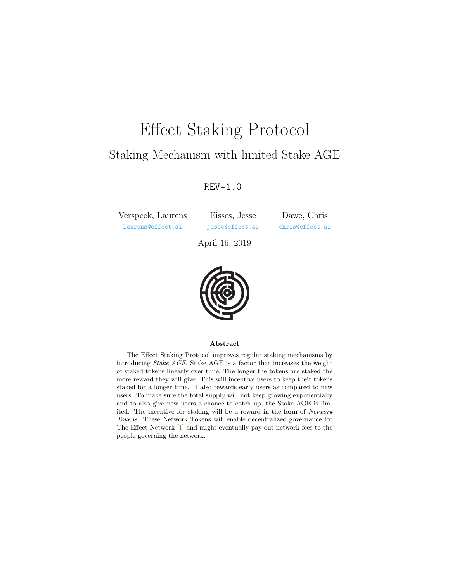# <span id="page-0-0"></span>Effect Staking Protocol Staking Mechanism with limited Stake AGE

### REV-1.0

Verspeek, Laurens [laurens@effect.ai](mailto:laurens@effect.ai)

Eisses, Jesse [jesse@effect.ai](mailto:jesse@effect.ai)

Dawe, Chris [chris@effect.ai](mailto:chris@effect.ai)

April 16, 2019



#### Abstract

The Effect Staking Protocol improves regular staking mechanisms by introducing Stake AGE. Stake AGE is a factor that increases the weight of staked tokens linearly over time; The longer the tokens are staked the more reward they will give. This will incentive users to keep their tokens staked for a longer time. It also rewards early users as compared to new users. To make sure the total supply will not keep growing exponentially and to also give new users a chance to catch up, the Stake AGE is limited. The incentive for staking will be a reward in the form of Network Tokens. These Network Tokens will enable decentralized governance for The Effect Network [\[1\]](#page-8-0) and might eventually pay-out network fees to the people governing the network.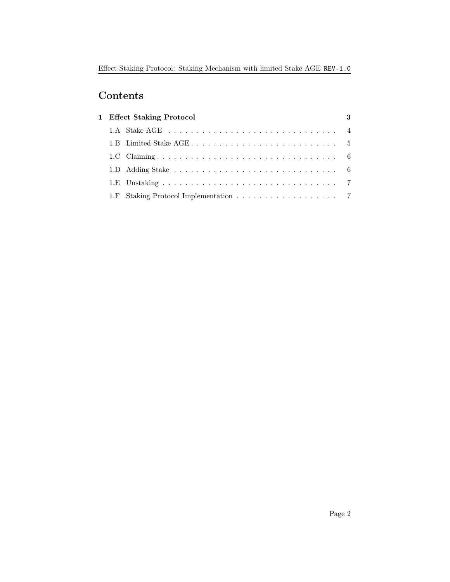## Contents

| 1 Effect Staking Protocol |  | 3 |
|---------------------------|--|---|
|                           |  |   |
|                           |  |   |
|                           |  |   |
|                           |  |   |
|                           |  |   |
|                           |  |   |
|                           |  |   |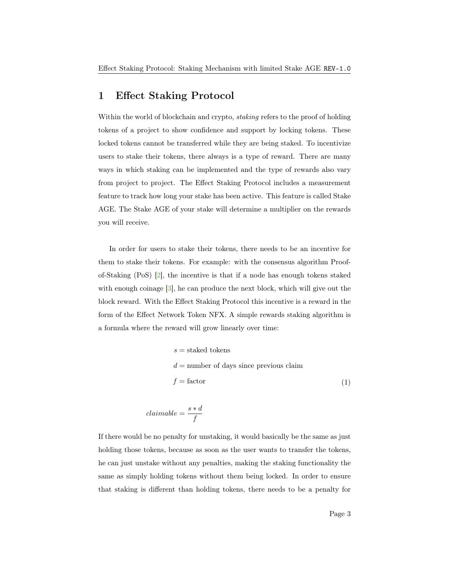#### <span id="page-2-1"></span><span id="page-2-0"></span>1 Effect Staking Protocol

Within the world of blockchain and crypto, staking refers to the proof of holding tokens of a project to show confidence and support by locking tokens. These locked tokens cannot be transferred while they are being staked. To incentivize users to stake their tokens, there always is a type of reward. There are many ways in which staking can be implemented and the type of rewards also vary from project to project. The Effect Staking Protocol includes a measurement feature to track how long your stake has been active. This feature is called Stake AGE. The Stake AGE of your stake will determine a multiplier on the rewards you will receive.

In order for users to stake their tokens, there needs to be an incentive for them to stake their tokens. For example: with the consensus algorithm Proofof-Staking (PoS) [\[2\]](#page-8-1), the incentive is that if a node has enough tokens staked with enough coinage  $|3|$ , he can produce the next block, which will give out the block reward. With the Effect Staking Protocol this incentive is a reward in the form of the Effect Network Token NFX. A simple rewards staking algorithm is a formula where the reward will grow linearly over time:

$$
s = \text{stacked tokens}
$$
  

$$
d = \text{number of days since previous claim}
$$
  

$$
f = \text{factor}
$$
 (1)

$$
claimable = \frac{s*d}{f}
$$

If there would be no penalty for unstaking, it would basically be the same as just holding those tokens, because as soon as the user wants to transfer the tokens, he can just unstake without any penalties, making the staking functionality the same as simply holding tokens without them being locked. In order to ensure that staking is different than holding tokens, there needs to be a penalty for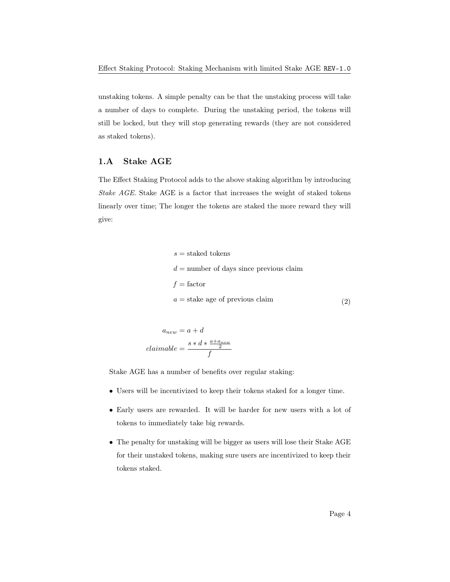unstaking tokens. A simple penalty can be that the unstaking process will take a number of days to complete. During the unstaking period, the tokens will still be locked, but they will stop generating rewards (they are not considered as staked tokens).

#### <span id="page-3-0"></span>1.A Stake AGE

The Effect Staking Protocol adds to the above staking algorithm by introducing Stake AGE. Stake AGE is a factor that increases the weight of staked tokens linearly over time; The longer the tokens are staked the more reward they will give:

> $s =$ staked tokens  $d =$  number of days since previous claim  $f =$ factor  $a =$ stake age of previous claim (2)

$$
a_{new} = a + d
$$

$$
claimable = \frac{s * d * \frac{a + a_{new}}{2}}{f}
$$

Stake AGE has a number of benefits over regular staking:

- Users will be incentivized to keep their tokens staked for a longer time.
- Early users are rewarded. It will be harder for new users with a lot of tokens to immediately take big rewards.
- The penalty for unstaking will be bigger as users will lose their Stake AGE for their unstaked tokens, making sure users are incentivized to keep their tokens staked.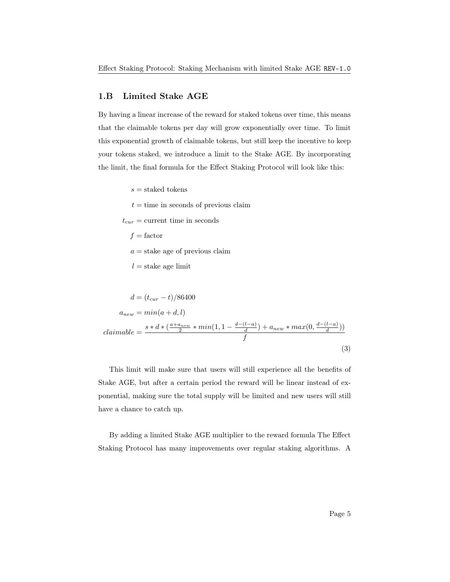#### <span id="page-4-0"></span>1.B Limited Stake AGE

By having a linear increase of the reward for staked tokens over time, this means that the claimable tokens per day will grow exponentially over time. To limit this exponential growth of claimable tokens, but still keep the incentive to keep your tokens staked, we introduce a limit to the Stake AGE. By incorporating the limit, the final formula for the Effect Staking Protocol will look like this:

 $s =$ staked tokens

 $t =$  time in seconds of previous claim

 $t_{cur}$  = current time in seconds

 $f =$ factor

 $a =$ stake age of previous claim

 $l =$ stake age limit

$$
d = (t_{cur} - t)/86400
$$
  
\n
$$
a_{new} = min(a + d, l)
$$
  
\n
$$
claimable = \frac{s * d * (\frac{a + a_{new}}{2} * min(1, 1 - \frac{d - (l - a)}{d}) + a_{new} * max(0, \frac{d - (l - a)}{d}))}{f}
$$
\n(3)

This limit will make sure that users will still experience all the benefits of Stake AGE, but after a certain period the reward will be linear instead of exponential, making sure the total supply will be limited and new users will still have a chance to catch up.

By adding a limited Stake AGE multiplier to the reward formula The Effect Staking Protocol has many improvements over regular staking algorithms. A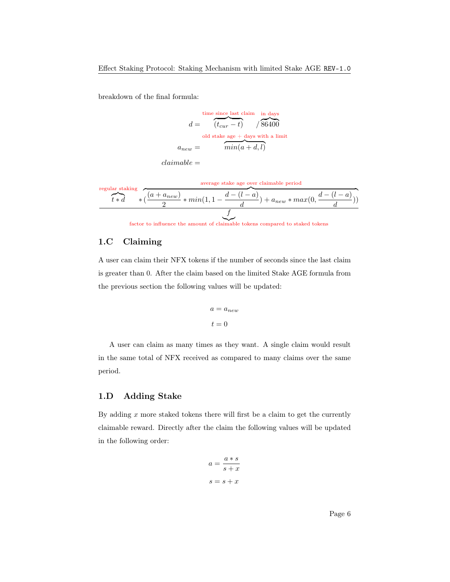breakdown of the final formula:

time since last claim in days  
\n
$$
d = \frac{(t_{cur} - t)}{(t_{cur} - t)} / 86400
$$
\nold stake age + days with a limit  
\n
$$
a_{new} = \frac{min(a + d, l)}{min(a + d, l)}
$$

 $claimable =$ 

regular staking  
\n
$$
t*d
$$
\n
$$
\begin{array}{r}\n\ast \left( \frac{(a + a_{new})}{2} * min(1, 1 - \frac{d - (l - a)}{d}) + a_{new} * max(0, \frac{d - (l - a)}{d}) \right) \\
\hline\n\end{array}
$$

factor to influence the amount of claimable tokens compared to staked tokens

#### <span id="page-5-0"></span>1.C Claiming

A user can claim their NFX tokens if the number of seconds since the last claim is greater than 0. After the claim based on the limited Stake AGE formula from the previous section the following values will be updated:

$$
a = a_{new}
$$

$$
t = 0
$$

A user can claim as many times as they want. A single claim would result in the same total of NFX received as compared to many claims over the same period.

#### <span id="page-5-1"></span>1.D Adding Stake

By adding  $x$  more staked tokens there will first be a claim to get the currently claimable reward. Directly after the claim the following values will be updated in the following order:

$$
a = \frac{a * s}{s + x}
$$

$$
s = s + x
$$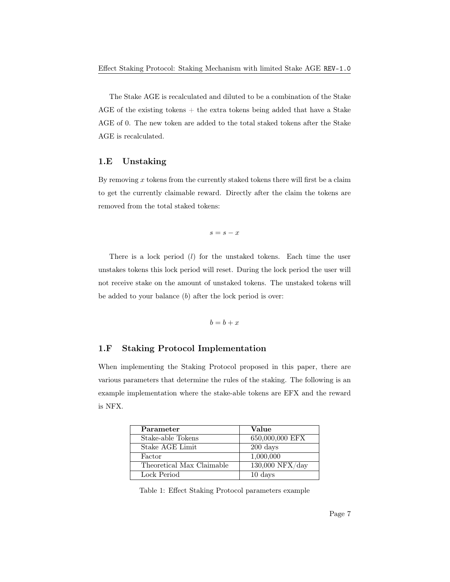The Stake AGE is recalculated and diluted to be a combination of the Stake AGE of the existing tokens  $+$  the extra tokens being added that have a Stake AGE of 0. The new token are added to the total staked tokens after the Stake AGE is recalculated.

#### <span id="page-6-0"></span>1.E Unstaking

By removing  $x$  tokens from the currently staked tokens there will first be a claim to get the currently claimable reward. Directly after the claim the tokens are removed from the total staked tokens:

$$
s=s-x
$$

There is a lock period  $(l)$  for the unstaked tokens. Each time the user unstakes tokens this lock period will reset. During the lock period the user will not receive stake on the amount of unstaked tokens. The unstaked tokens will be added to your balance (b) after the lock period is over:

$$
b = b + x
$$

#### <span id="page-6-1"></span>1.F Staking Protocol Implementation

When implementing the Staking Protocol proposed in this paper, there are various parameters that determine the rules of the staking. The following is an example implementation where the stake-able tokens are EFX and the reward is NFX.

| Parameter                 | Value              |
|---------------------------|--------------------|
| Stake-able Tokens         | 650,000,000 EFX    |
| Stake AGE Limit           | $200 \text{ days}$ |
| Factor                    | 1,000,000          |
| Theoretical Max Claimable | $130,000$ NFX/day  |
| Lock Period               | $10 \text{ days}$  |

Table 1: Effect Staking Protocol parameters example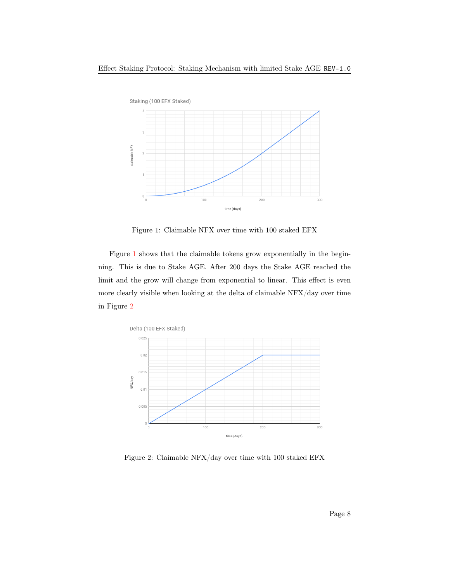

<span id="page-7-0"></span>Figure 1: Claimable NFX over time with 100 staked EFX

Figure [1](#page-7-0) shows that the claimable tokens grow exponentially in the beginning. This is due to Stake AGE. After 200 days the Stake AGE reached the limit and the grow will change from exponential to linear. This effect is even more clearly visible when looking at the delta of claimable NFX/day over time in Figure [2](#page-7-1)



<span id="page-7-1"></span>Figure 2: Claimable NFX/day over time with 100 staked EFX